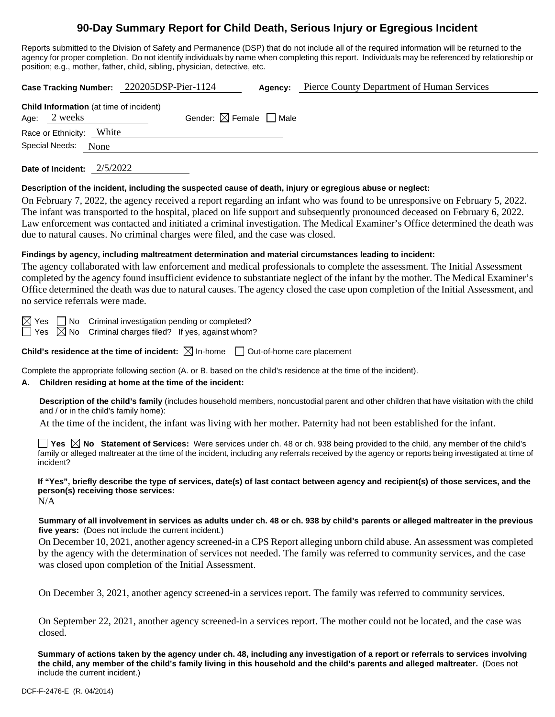# **90-Day Summary Report for Child Death, Serious Injury or Egregious Incident**

Reports submitted to the Division of Safety and Permanence (DSP) that do not include all of the required information will be returned to the agency for proper completion. Do not identify individuals by name when completing this report. Individuals may be referenced by relationship or position; e.g., mother, father, child, sibling, physician, detective, etc.

| Case Tracking Number: 220205DSP-Pier-1124                      |       | Agency:                                | Pierce County Department of Human Services |  |
|----------------------------------------------------------------|-------|----------------------------------------|--------------------------------------------|--|
| <b>Child Information</b> (at time of incident)<br>Age: 2 weeks |       | Gender: $\boxtimes$ Female $\Box$ Male |                                            |  |
| Race or Ethnicity:                                             | White |                                        |                                            |  |
| Special Needs: None                                            |       |                                        |                                            |  |
|                                                                |       |                                        |                                            |  |

**Date of Incident:** 2/5/2022

#### **Description of the incident, including the suspected cause of death, injury or egregious abuse or neglect:**

On February 7, 2022, the agency received a report regarding an infant who was found to be unresponsive on February 5, 2022. The infant was transported to the hospital, placed on life support and subsequently pronounced deceased on February 6, 2022. Law enforcement was contacted and initiated a criminal investigation. The Medical Examiner's Office determined the death was due to natural causes. No criminal charges were filed, and the case was closed.

#### **Findings by agency, including maltreatment determination and material circumstances leading to incident:**

The agency collaborated with law enforcement and medical professionals to complete the assessment. The Initial Assessment completed by the agency found insufficient evidence to substantiate neglect of the infant by the mother. The Medical Examiner's Office determined the death was due to natural causes. The agency closed the case upon completion of the Initial Assessment, and no service referrals were made.

 $\boxtimes$  Yes  $\Box$  No Criminal investigation pending or completed?

 $\Box$  Yes  $\boxtimes$  No Criminal charges filed? If yes, against whom?

**Child's residence at the time of incident:**  $\boxtimes$  In-home  $\Box$  Out-of-home care placement

Complete the appropriate following section (A. or B. based on the child's residence at the time of the incident).

#### **A. Children residing at home at the time of the incident:**

**Description of the child's family** (includes household members, noncustodial parent and other children that have visitation with the child and / or in the child's family home):

At the time of the incident, the infant was living with her mother. Paternity had not been established for the infant.

■ Yes △ No Statement of Services: Were services under ch. 48 or ch. 938 being provided to the child, any member of the child's family or alleged maltreater at the time of the incident, including any referrals received by the agency or reports being investigated at time of incident?

**If "Yes", briefly describe the type of services, date(s) of last contact between agency and recipient(s) of those services, and the person(s) receiving those services:**

N/A

#### **Summary of all involvement in services as adults under ch. 48 or ch. 938 by child's parents or alleged maltreater in the previous five years:** (Does not include the current incident.)

On December 10, 2021, another agency screened-in a CPS Report alleging unborn child abuse. An assessment was completed by the agency with the determination of services not needed. The family was referred to community services, and the case was closed upon completion of the Initial Assessment.

On December 3, 2021, another agency screened-in a services report. The family was referred to community services.

On September 22, 2021, another agency screened-in a services report. The mother could not be located, and the case was closed.

**Summary of actions taken by the agency under ch. 48, including any investigation of a report or referrals to services involving the child, any member of the child's family living in this household and the child's parents and alleged maltreater.** (Does not include the current incident.)